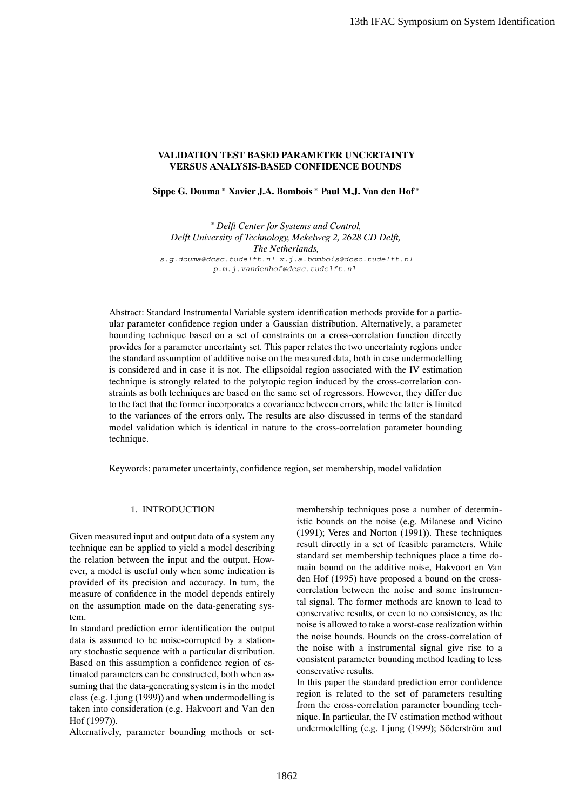# **VALIDATION TEST BASED PARAMETER UNCERTAINTY VERSUS ANALYSIS-BASED CONFIDENCE BOUNDS**

**Sippe G. Douma** <sup>∗</sup> **Xavier J.A. Bombois** <sup>∗</sup> **Paul M.J. Van den Hof** <sup>∗</sup>

∗ *Delft Center for Systems and Control, Delft University of Technology, Mekelweg 2, 2628 CD Delft, The Netherlands,* s.g.douma@dcsc.tudelft.nl x.j.a.bombois@dcsc.tudelft.nl p.m.j.vandenhof@dcsc.tudelft.nl

Abstract: Standard Instrumental Variable system identification methods provide for a particular parameter confidence region under a Gaussian distribution. Alternatively, a parameter bounding technique based on a set of constraints on a cross-correlation function directly provides for a parameter uncertainty set. This paper relates the two uncertainty regions under the standard assumption of additive noise on the measured data, both in case undermodelling is considered and in case it is not. The ellipsoidal region associated with the IV estimation technique is strongly related to the polytopic region induced by the cross-correlation constraints as both techniques are based on the same set of regressors. However, they differ due to the fact that the former incorporates a covariance between errors, while the latter is limited to the variances of the errors only. The results are also discussed in terms of the standard model validation which is identical in nature to the cross-correlation parameter bounding technique.

Keywords: parameter uncertainty, confidence region, set membership, model validation

# 1. INTRODUCTION

Given measured input and output data of a system any technique can be applied to yield a model describing the relation between the input and the output. However, a model is useful only when some indication is provided of its precision and accuracy. In turn, the measure of confidence in the model depends entirely on the assumption made on the data-generating system.

In standard prediction error identification the output data is assumed to be noise-corrupted by a stationary stochastic sequence with a particular distribution. Based on this assumption a confidence region of estimated parameters can be constructed, both when assuming that the data-generating system is in the model class (e.g. Ljung (1999)) and when undermodelling is taken into consideration (e.g. Hakvoort and Van den Hof (1997)).

Alternatively, parameter bounding methods or set-

membership techniques pose a number of deterministic bounds on the noise (e.g. Milanese and Vicino (1991); Veres and Norton (1991)). These techniques result directly in a set of feasible parameters. While standard set membership techniques place a time domain bound on the additive noise, Hakvoort en Van den Hof (1995) have proposed a bound on the crosscorrelation between the noise and some instrumental signal. The former methods are known to lead to conservative results, or even to no consistency, as the noise is allowed to take a worst-case realization within the noise bounds. Bounds on the cross-correlation of the noise with a instrumental signal give rise to a consistent parameter bounding method leading to less conservative results. 13th IFAC Symposium on System Identification<br>
13th IFAC Symposium on System Identification<br>
ED CONFIDENCE BOUNDS<br>
EMERAMETER UNCERTAINTY<br>
ED CONFIDENCE BOUNDS<br>
Formions (\* Paul M.J. Van den Hof '<br>
styristem and Crainety a

In this paper the standard prediction error confidence region is related to the set of parameters resulting from the cross-correlation parameter bounding technique. In particular, the IV estimation method without undermodelling (e.g. Ljung (1999); Söderström and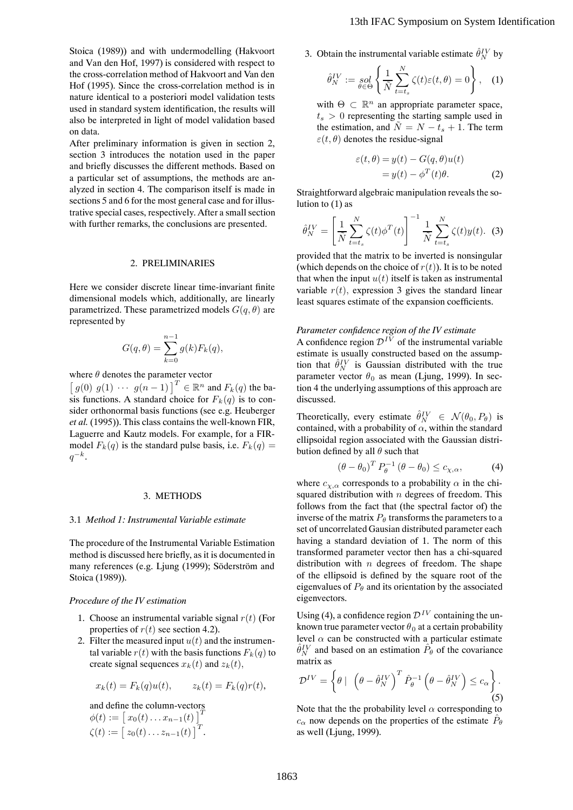Stoica (1989)) and with undermodelling (Hakvoort and Van den Hof, 1997) is considered with respect to the cross-correlation method of Hakvoort and Van den Hof (1995). Since the cross-correlation method is in nature identical to a posteriori model validation tests used in standard system identification, the results will also be interpreted in light of model validation based on data.

After preliminary information is given in section 2, section 3 introduces the notation used in the paper and briefly discusses the different methods. Based on a particular set of assumptions, the methods are analyzed in section 4. The comparison itself is made in sections 5 and 6 for the most general case and for illustrative special cases, respectively. After a small section with further remarks, the conclusions are presented.

## 2. PRELIMINARIES

Here we consider discrete linear time-invariant finite dimensional models which, additionally, are linearly parametrized. These parametrized models  $G(q, \theta)$  are represented by

$$
G(q, \theta) = \sum_{k=0}^{n-1} g(k) F_k(q),
$$

where  $\theta$  denotes the parameter vector<br>  $\begin{bmatrix} g(0) & g(1) & \cdots & g(n-1) \end{bmatrix}^T \in \mathbb{R}^n$  and  $F_k(q)$  the ba-<br>sis functions. A standard choice for  $F_k(q)$  is to consis functions. A standard choice for  $F_k(q)$  is to consider orthonormal basis functions (see e.g. Heuberger *et al.* (1995)). This class contains the well-known FIR, Laguerre and Kautz models. For example, for a FIRmodel  $F_k(q)$  is the standard pulse basis, i.e.  $F_k(q)$  =  $q^{-k}$ .

### 3. METHODS

### 3.1 *Method 1: Instrumental Variable estimate*

The procedure of the Instrumental Variable Estimation method is discussed here briefly, as it is documented in many references (e.g. Ljung (1999); Söderström and Stoica (1989)).

### *Procedure of the IV estimation*

- 1. Choose an instrumental variable signal  $r(t)$  (For properties of  $r(t)$  see section 4.2).
- 2. Filter the measured input  $u(t)$  and the instrumental variable  $r(t)$  with the basis functions  $F_k(q)$  to create signal sequences  $x_k(t)$  and  $z_k(t)$ ,

$$
x_k(t) = F_k(q)u(t), \qquad z_k(t) = F_k(q)r(t),
$$

and define the column-vectors  
\n
$$
\phi(t) := [x_0(t) \dots x_{n-1}(t)]^T
$$
\n
$$
\zeta(t) := [z_0(t) \dots z_{n-1}(t)]^T.
$$

3. Obtain the instrumental variable estimate  $\hat{\theta}_{N}^{IV}$  by

$$
\hat{\theta}_N^{IV} := \underset{\theta \in \Theta}{sol} \left\{ \frac{1}{\tilde{N}} \sum_{t=t_s}^N \zeta(t) \varepsilon(t,\theta) = 0 \right\}, \quad (1)
$$

with  $\Theta \subset \mathbb{R}^n$  an appropriate parameter space,  $t_s > 0$  representing the starting sample used in the estimation, and  $\tilde{N} = N - t_s + 1$ . The term  $\varepsilon(t, \theta)$  denotes the residue-signal

$$
\varepsilon(t,\theta) = y(t) - G(q,\theta)u(t)
$$
  
=  $y(t) - \phi^{T}(t)\theta$ . (2)

Straightforward algebraic manipulation reveals the solution to  $(1)$  as

$$
\hat{\theta}_N^{IV} = \left[\frac{1}{\tilde{N}} \sum_{t=t_s}^N \zeta(t) \phi^T(t)\right]^{-1} \frac{1}{\tilde{N}} \sum_{t=t_s}^N \zeta(t) y(t). \tag{3}
$$

provided that the matrix to be inverted is nonsingular (which depends on the choice of  $r(t)$ ). It is to be noted that when the input  $u(t)$  itself is taken as instrumental variable  $r(t)$ , expression 3 gives the standard linear least squares estimate of the expansion coefficients.

# *Parameter confidence region of the IV estimate*

A confidence region  $\mathcal{D}^{IV}$  of the instrumental variable estimate is usually constructed based on the assumption that  $\hat{\theta}_{N}^{IV}$  is Gaussian distributed with the true<br>parameter vector  $\theta_0$  as mean (Liung 1999). In secparameter vector  $\theta_0$  as mean (Ljung, 1999). In section 4 the underlying assumptions of this approach are discussed.

Theoretically, every estimate  $\hat{\theta}_{N}^{IV} \in \mathcal{N}(\theta_0, P_\theta)$  is contained with a probability of  $\alpha$  within the standard contained, with a probability of  $\alpha$ , within the standard ellipsoidal region associated with the Gaussian distribution defined by all  $\theta$  such that

$$
\left(\theta - \theta_0\right)^T P_{\theta}^{-1} \left(\theta - \theta_0\right) \le c_{\chi,\alpha},\tag{4}
$$

where  $c_{\chi,\alpha}$  corresponds to a probability  $\alpha$  in the chi-<br>squared distribution with *n* degrees of freedom. This squared distribution with  $n$  degrees of freedom. This follows from the fact that (the spectral factor of) the inverse of the matrix  $P_{\theta}$  transforms the parameters to a set of uncorrelated Gausian distributed parameter each having a standard deviation of 1. The norm of this transformed parameter vector then has a chi-squared distribution with  $n$  degrees of freedom. The shape of the ellipsoid is defined by the square root of the eigenvalues of  $P_{\theta}$  and its orientation by the associated eigenvectors. 13th IFAC Symposium on System Identification<br>
3. Obtain the instrumental variable estimate  $\frac{\partial f}{\partial y}$  by<br>  $\frac{\partial f}{\partial x} = \frac{1}{\rho_0 g} \int \frac{1}{x} \sum_{n=1}^N C(t)e(t,0) = 0$ , (1)<br>
with  $\Theta \subset \mathbb{R}^n$  an appropriate parameter space,<br>

Using (4), a confidence region  $\mathcal{D}^{IV}$  containing the unknown true parameter vector  $\theta_0$  at a certain probability level  $\alpha$  can be constructed with a particular estimate  $\hat{\theta}_{N}^{IV}$  and based on an estimation  $\hat{P}_{\theta}$  of the covariance matrix as matrix as

$$
\mathcal{D}^{IV} = \left\{ \theta \mid \left( \theta - \hat{\theta}_N^{IV} \right)^T \hat{P}_{\theta}^{-1} \left( \theta - \hat{\theta}_N^{IV} \right) \leq c_{\alpha} \right\}.
$$
\n(5)

Note that the the probability level  $\alpha$  corresponding to  $c_{\alpha}$  now depends on the properties of the estimate  $\hat{P}_{\theta}$ as well (Ljung, 1999).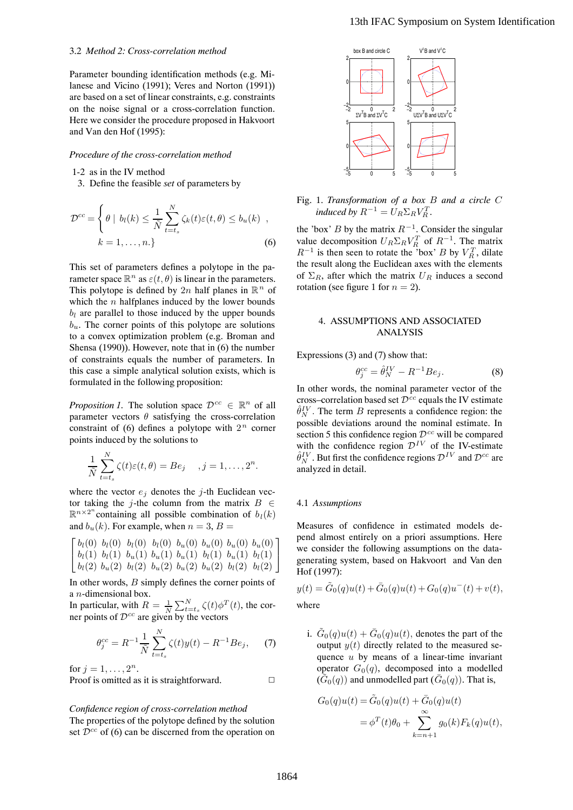### 3.2 *Method 2: Cross-correlation method*

Parameter bounding identification methods (e.g. Milanese and Vicino (1991); Veres and Norton (1991)) are based on a set of linear constraints, e.g. constraints on the noise signal or a cross-correlation function. Here we consider the procedure proposed in Hakvoort and Van den Hof (1995):

# *Procedure of the cross-correlation method*

1-2 as in the IV method

3. Define the feasible *set* of parameters by

$$
\mathcal{D}^{cc} = \begin{cases} \theta \mid b_l(k) \leq \frac{1}{\tilde{N}} \sum_{t=t_s}^{N} \zeta_k(t) \varepsilon(t, \theta) \leq b_u(k) ,\\ k = 1, \dots, n. \end{cases}
$$
 (6)

This set of parameters defines a polytope in the parameter space  $\mathbb{R}^n$  as  $\varepsilon(t, \theta)$  is linear in the parameters. This polytope is defined by 2n half planes in  $\mathbb{R}^n$  of which the  $n$  halfplanes induced by the lower bounds  $b_l$  are parallel to those induced by the upper bounds  $b<sub>u</sub>$ . The corner points of this polytope are solutions to a convex optimization problem (e.g. Broman and Shensa (1990)). However, note that in (6) the number of constraints equals the number of parameters. In this case a simple analytical solution exists, which is formulated in the following proposition:

*Proposition 1.* The solution space  $\mathcal{D}^{cc} \in \mathbb{R}^n$  of all parameter vectors  $\theta$  satisfying the cross-correlation constraint of (6) defines a polytope with  $2<sup>n</sup>$  corner points induced by the solutions to

$$
\frac{1}{\tilde{N}}\sum_{t=t_s}^N \zeta(t)\varepsilon(t,\theta) = Be_j \quad , j=1,\ldots,2^n.
$$

where the vector  $e_i$  denotes the j-th Euclidean vector taking the j-the column from the matrix  $B \in$  $\mathbb{R}^{n \times 2^n}$  containing all possible combination of  $b_l(k)$ <br>and b (k) For example when  $n = 3$ ,  $R =$ 

and  $b_u(k)$ . For example, when  $n = 3$ ,  $B = \int b_l(0) b_l(0) b_l(0) b_l(0) b_u(0) b_u(0) b_u(0)$  $\begin{bmatrix} b_l(1) & b_l(1) & b_u(1) & b_u(1) & b_l(1) & b_l(1) & b_l(1) \ b_l(2) & b_l(2) & b_l(2) & b_l(2) & b_l(2) & b_l(2) \end{bmatrix}$  $b_l(0)$   $b_l(0)$   $b_l(0)$   $b_l(0)$   $b_u(0)$   $b_u(0)$   $b_u(0)$   $b_u(0)$ <br> $b_l(1)$   $b_l(1)$   $b_l(1)$   $b_l(1)$   $b_l(1)$   $b_l(1)$  $\left[b_l(1) \quad b_l(1) \quad b_u(1) \quad b_u(1) \quad b_u(1) \quad b_l(1) \quad b_l(1) \quad b_l(1) \quad b_l(2) \quad b_l(2) \quad b_l(2) \quad b_l(2) \quad b_l(2) \quad b_l(2) \quad b_l(2) \quad b_l(2) \quad b_l(2) \quad b_l(2) \quad b_l(2) \quad b_l(2) \quad b_l(2) \quad b_l(2) \quad b_l(2) \quad b_l(2) \quad b_l(2) \quad b_l(2) \quad b_l(2) \quad b_l(2) \quad b_l(2) \quad b_l(2) \quad b_l(2) \quad b$ 1

In other words,  $B$  simply defines the corner points of a *n*-dimensional box. a *n*-dimensional box.<br>In particular with *R* 

In particular, with  $R = \frac{1}{N} \sum_{k=t_s}^{N} \zeta(t) \phi^{T}(t)$ , the cor-<br>ner points of  $\mathcal{D}^{cc}$  are given by the vectors ner points of  $\mathcal{D}^{cc}$  are given by the vectors

$$
\theta_j^{cc} = R^{-1} \frac{1}{\tilde{N}} \sum_{t=t_s}^{N} \zeta(t) y(t) - R^{-1} B e_j, \quad (7)
$$

for  $j = 1, ..., 2^n$ . Proof is omitted as it is straightforward.  $\Box$ 

# *Confidence region of cross-correlation method*

The properties of the polytope defined by the solution set  $\mathcal{D}^{cc}$  of (6) can be discerned from the operation on



Fig. 1. *Transformation of a box* B *and a circle* C *induced by*  $R^{-1} = U_R \Sigma_R V_R^T$ .

the 'box' B by the matrix  $R^{-1}$ . Consider the singular value decomposition  $U_R \Sigma_R V_R^T$  of  $R^{-1}$ . The matrix  $R^{-1}$  is then seen to rotate the 'box' R by  $V^T$  dilate  $R^{-1}$  is then seen to rotate the 'box' B by  $V_R^T$ , dilate<br>the result along the Euclidean aves with the elements the result along the Euclidean axes with the elements of  $\Sigma_R$ , after which the matrix  $U_R$  induces a second rotation (see figure 1 for  $n = 2$ ).

## 4. ASSUMPTIONS AND ASSOCIATED ANALYSIS

Expressions (3) and (7) show that:

$$
\theta_j^{cc} = \hat{\theta}_N^{IV} - R^{-1} B e_j.
$$
 (8)

In other words, the nominal parameter vector of the cross–correlation based set  $\mathcal{D}^{cc}$  equals the IV estimate  $\hat{\theta}_{N}^{IV}$ . The term B represents a confidence region: the powingle estimate. In possible deviations around the nominal estimate. In section 5 this confidence region  $\mathcal{D}^{cc}$  will be compared with the confidence region  $\mathcal{D}^{IV}$  of the IV-estimate  $\hat{\theta}_{N}^{IV}$ . But first the confidence regions  $\mathcal{D}^{IV}$  and  $\mathcal{D}^{cc}$  are analyzed in detail analyzed in detail.

#### 4.1 *Assumptions*

Measures of confidence in estimated models depend almost entirely on a priori assumptions. Here we consider the following assumptions on the datagenerating system, based on Hakvoort and Van den Hof (1997):

$$
y(t) = \tilde{G}_0(q)u(t) + \bar{G}_0(q)u(t) + G_0(q)u^-(t) + v(t),
$$
  
where

i.  $G_0(q)u(t) + \overline{G}_0(q)u(t)$ , denotes the part of the output  $y(t)$  directly related to the measured sequence  $u$  by means of a linear-time invariant operator  $G_0(q)$ , decomposed into a modelled  $(\tilde{G}_0(q))$  and unmodelled part  $(\bar{G}_0(q))$ . That is,

$$
G_0(q)u(t) = \tilde{G}_0(q)u(t) + \bar{G}_0(q)u(t)
$$
  
=  $\phi^T(t)\theta_0 + \sum_{k=n+1}^{\infty} g_0(k)F_k(q)u(t),$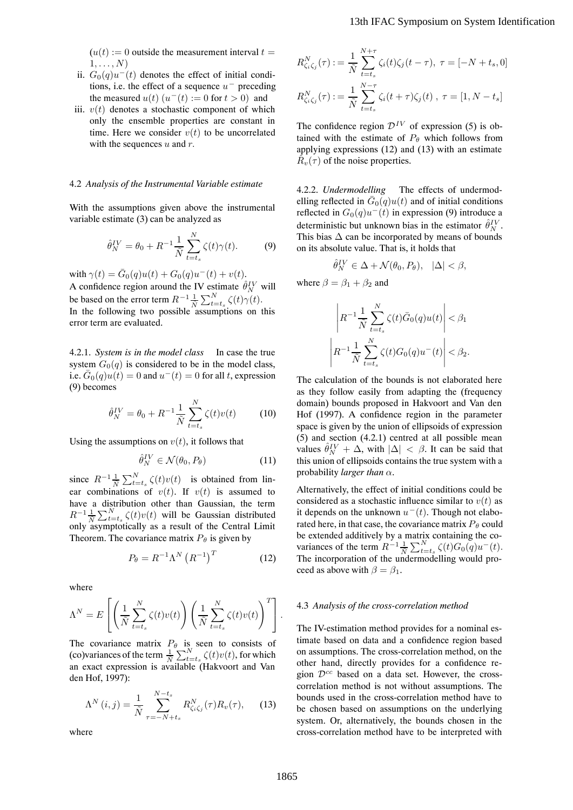$(u(t)) := 0$  outside the measurement interval  $t =$  $1,\ldots,N$ )

- ii.  $G_0(q)u^-(t)$  denotes the effect of initial conditions, i.e. the effect of a sequence  $u^-$  preceding the measured  $u(t)$   $(u^-(t) := 0$  for  $t > 0)$  and
- iii.  $v(t)$  denotes a stochastic component of which only the ensemble properties are constant in time. Here we consider  $v(t)$  to be uncorrelated with the sequences  $u$  and  $r$ .

## 4.2 *Analysis of the Instrumental Variable estimate*

With the assumptions given above the instrumental variable estimate (3) can be analyzed as

$$
\hat{\theta}_N^{IV} = \theta_0 + R^{-1} \frac{1}{\tilde{N}} \sum_{t=t_s}^N \zeta(t) \gamma(t). \tag{9}
$$

with  $\gamma(t) = \bar{G}_0(q)u(t) + G_0(q)u^-(t) + v(t)$ . A confidence region around the IV estimate  $\hat{\theta}_N^{\text{IV}}$  will<br>be because the arror tarm  $R^{-1}$ ,  $\sum_{i=1}^{N} \zeta_i(t) \zeta_i(t)$ be based on the error term  $R^{-1} \frac{1}{\tilde{N}} \sum_{t=t_s}^{N} \zeta(t) \gamma(t)$ .<br>In the following two possible assumptions on this error term are evaluated.

4.2.1. *System is in the model class* In case the true system  $G_0(q)$  is considered to be in the model class, i.e.  $\bar{G}_0(q)u(t)=0$  and  $u^-(t)=0$  for all t, expression (9) becomes

$$
\hat{\theta}_N^{IV} = \theta_0 + R^{-1} \frac{1}{\tilde{N}} \sum_{t=t_s}^N \zeta(t) v(t) \tag{10}
$$

Using the assumptions on  $v(t)$ , it follows that

$$
\hat{\theta}_N^{IV} \in \mathcal{N}(\theta_0, P_\theta)
$$
 (11)

since  $R^{-1} \frac{1}{N} \sum_{t=t_s}^{N} \zeta(t) v(t)$  is obtained from lin-<br>car combinations of  $v(t)$ , If  $v(t)$  is assumed to ear combinations of  $v(t)$ . If  $v(t)$  is assumed to have a distribution other than Gaussian, the term  $R^{-1} \frac{1}{N} \sum_{t=s}^{N} \zeta(t) v(t)$  will be Gaussian distributed<br>only asymptotically as a result of the Central Limit only asymptotically as a result of the Central Limit Theorem. The covariance matrix  $P_{\theta}$  is given by

$$
P_{\theta} = R^{-1} \Lambda^N \left( R^{-1} \right)^T \tag{12}
$$

where

$$
\Lambda^N = E\left[\left(\frac{1}{\tilde{N}}\sum_{t=t_s}^N \zeta(t)v(t)\right)\left(\frac{1}{\tilde{N}}\sum_{t=t_s}^N \zeta(t)v(t)\right)^T\right].
$$

The covariance matrix  $P_{\theta}$  is seen to consists of (co)variances of the term  $\frac{1}{N} \sum_{t=s}^{N} \zeta(t)v(t)$ , for which an exact expression is available (Hakyoort and Van an exact expression is available (Hakvoort and Van den Hof, 1997):

$$
\Lambda^N(i,j) = \frac{1}{\tilde{N}} \sum_{\tau=-N+t_s}^{N-t_s} R_{\zeta_i\zeta_j}^N(\tau) R_v(\tau), \quad (13)
$$

where

$$
R_{\zeta_i\zeta_j}^N(\tau) := \frac{1}{\tilde{N}} \sum_{t=t_s}^{N+\tau} \zeta_i(t)\zeta_j(t-\tau), \ \tau = [-N+t_s, 0]
$$
  

$$
R_{\zeta_i\zeta_j}^N(\tau) := \frac{1}{\tilde{N}} \sum_{t=t_s}^{N-\tau} \zeta_i(t+\tau)\zeta_j(t), \ \tau = [1, N-t_s]
$$

The confidence region  $\mathcal{D}^{IV}$  of expression (5) is obtained with the estimate of  $P_\theta$  which follows from applying expressions (12) and (13) with an estimate  $R<sub>v</sub>(\tau)$  of the noise properties.

4.2.2. *Undermodelling* The effects of undermodelling reflected in  $\bar{G}_0(q)u(t)$  and of initial conditions reflected in  $G_0(q)u^-(t)$  in expression (9) introduce a deterministic but unknown bias in the estimator  $\hat{\theta}_{N}^{IV}$ .<br>This bias  $\Delta$  can be incorporated by means of bounds This bias  $\Delta$  can be incorporated by means of bounds on its absolute value. That is, it holds that

$$
\hat{\theta}_N^{IV} \in \Delta + \mathcal{N}(\theta_0, P_\theta), \quad |\Delta| < \beta,
$$

where  $\beta = \beta_1 + \beta_2$  and

$$
\left| R^{-1} \frac{1}{\tilde{N}} \sum_{t=t_s}^N \zeta(t) \bar{G}_0(q) u(t) \right| < \beta_1
$$
  

$$
\left| R^{-1} \frac{1}{\tilde{N}} \sum_{t=t_s}^N \zeta(t) G_0(q) u^-(t) \right| < \beta_2.
$$

The calculation of the bounds is not elaborated here as they follow easily from adapting the (frequency domain) bounds proposed in Hakvoort and Van den Hof (1997). A confidence region in the parameter space is given by the union of ellipsoids of expression (5) and section (4.2.1) centred at all possible mean values  $\hat{\theta}_{N}^{IV} + \Delta$ , with  $|\Delta| < \beta$ . It can be said that this union of ellipsoids contains the true system with a this union of ellipsoids contains the true system with a probability *larger than* α.

Alternatively, the effect of initial conditions could be considered as a stochastic influence similar to  $v(t)$  as it depends on the unknown  $u^-(t)$ . Though not elaborated here, in that case, the covariance matrix  $P_{\theta}$  could be extended additively by a matrix containing the covariances of the term  $R^{-1} \frac{1}{N} \sum_{t=t_s}^{N} \zeta(t) G_0(q) u^{-}(t)$ .<br>The incorporation of the undermodelling would pro-The incorporation of the undermodelling would proceed as above with  $\beta = \beta_1$ .

### 4.3 *Analysis of the cross-correlation method*

The IV-estimation method provides for a nominal estimate based on data and a confidence region based on assumptions. The cross-correlation method, on the other hand, directly provides for a confidence region  $\mathcal{D}^{cc}$  based on a data set. However, the crosscorrelation method is not without assumptions. The bounds used in the cross-correlation method have to be chosen based on assumptions on the underlying system. Or, alternatively, the bounds chosen in the cross-correlation method have to be interpreted with 13th IFAC Symposium on System Identification<br>  $R_{\text{S}(\zeta)}^{\mathcal{S}}(\tau) := \frac{N}{N} \sum_{i=1}^{N} \zeta_i(t) \zeta_j(t-\tau), \ \tau = [-N + 6, 0]$ <br>  $R_{\text{S}(\zeta)}^{\mathcal{S}}(\tau) := \frac{N}{N} \sum_{i=1}^{N} \zeta_i(t+\tau) \zeta_i(t)$ ,  $\tau = [1, N - t_s]$ <br>
The confidence region  $2\mathcal{V}$  o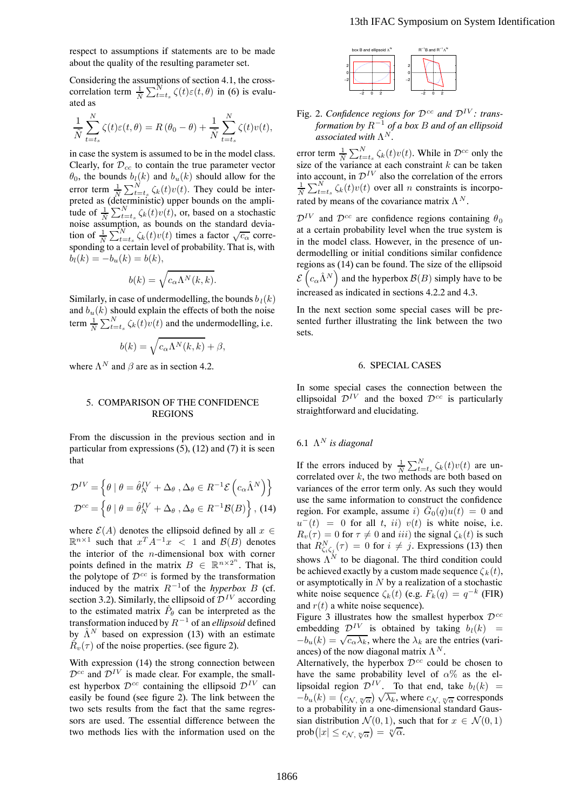respect to assumptions if statements are to be made about the quality of the resulting parameter set.

Considering the assumptions of section 4.1, the crosscorrelation term  $\frac{1}{N} \sum_{t=t_s}^{N} \zeta(t) \varepsilon(t, \theta)$  in (6) is evaluated as

$$
\frac{1}{\tilde{N}} \sum_{t=t_s}^{N} \zeta(t)\varepsilon(t,\theta) = R(\theta_0 - \theta) + \frac{1}{\tilde{N}} \sum_{t=t_s}^{N} \zeta(t)v(t),
$$

in case the system is assumed to be in the model class. Clearly, for  $\mathcal{D}_{cc}$  to contain the true parameter vector  $\theta_0$ , the bounds  $b_l(k)$  and  $b_u(k)$  should allow for the error term  $\frac{1}{N} \sum_{t=t_s}^{N} \zeta_k(t)v(t)$ . They could be interpreted as (deterministic) upper bounds on the amplitude of  $\frac{1}{N} \sum_{t=t_s}^{N} \zeta_k(t) v(t)$ , or, based on a stochastic<br>noise assumption, as bounds on the standard devianoise assumption, as bounds on the standard deviation of  $\frac{1}{N} \sum_{t=t_s}^{N} \zeta_k(t) v(t)$  times a factor  $\sqrt{c_{\alpha}}$  corre-<br>sponding to a certain level of probability. That is, with  $b_l(k) = -b_u(k) = b(k),$ 

$$
b(k) = \sqrt{c_{\alpha} \Lambda^{N}(k, k)}.
$$

Similarly, in case of undermodelling, the bounds  $b_l(k)$ and  $b<sub>u</sub>(k)$  should explain the effects of both the noise term  $\frac{1}{N} \sum_{t=t_s}^{N} \zeta_k(t) v(t)$  and the undermodelling, i.e.

$$
b(k) = \sqrt{c_{\alpha} \Lambda^{N}(k, k)} + \beta,
$$

where  $\Lambda^N$  and  $\beta$  are as in section 4.2.

## 5. COMPARISON OF THE CONFIDENCE REGIONS

From the discussion in the previous section and in particular from expressions  $(5)$ ,  $(12)$  and  $(7)$  it is seen that

$$
\mathcal{D}^{IV} = \left\{ \theta \mid \theta = \hat{\theta}_{N}^{IV} + \Delta_{\theta}, \Delta_{\theta} \in R^{-1} \mathcal{E} \left( c_{\alpha} \hat{\Lambda}^{N} \right) \right\}
$$

$$
\mathcal{D}^{cc} = \left\{ \theta \mid \theta = \hat{\theta}_{N}^{IV} + \Delta_{\theta}, \Delta_{\theta} \in R^{-1} \mathcal{B}(B) \right\}, (14)
$$

where  $\mathcal{E}(A)$  denotes the ellipsoid defined by all  $x \in$  $\mathbb{R}^{n\times 1}$  such that  $x^T A^{-1}x < 1$  and  $\mathcal{B}(B)$  denotes the interior of the  $n$ -dimensional box with corner points defined in the matrix  $B \in \mathbb{R}^{n \times 2^n}$ . That is, the polytone of  $\mathcal{D}^{cc}$  is formed by the transformation the polytope of  $\mathcal{D}^{cc}$  is formed by the transformation induced by the matrix  $R^{-1}$ of the *hyperbox B* (cf. section 3.2). Similarly, the ellipsoid of  $\mathcal{D}^{IV}$  according to the estimated matrix  $\hat{P}_{\theta}$  can be interpreted as the transformation induced by <sup>R</sup><sup>−</sup><sup>1</sup> of an *ellipsoid* defined by  $\hat{\Lambda}^N$  based on expression (13) with an estimate  $\hat{R}_v(\tau)$  of the noise properties. (see figure 2).

With expression (14) the strong connection between  $\mathcal{D}^{cc}$  and  $\mathcal{D}^{IV}$  is made clear. For example, the smallest hyperbox  $\mathcal{D}^{cc}$  containing the ellipsoid  $\mathcal{D}^{IV}$  can easily be found (see figure 2). The link between the two sets results from the fact that the same regressors are used. The essential difference between the two methods lies with the information used on the



Fig. 2. *Confidence regions for*  $\mathcal{D}^{cc}$  *and*  $\mathcal{D}^{IV}$ *: transformation by* R−<sup>1</sup> *of a box* <sup>B</sup> *and of an ellipsoid*  $a$ *ssociated with*  $\Lambda^N$ .

error term  $\frac{1}{N} \sum_{t=t_s}^{N} \zeta_k(t) v(t)$ . While in  $\mathcal{D}^{cc}$  only the size of the variance at each constraint k can be taken size of the variance at each constraint k can be taken<br>into account, in  $\mathcal{D}^{IV}$  also the correlation of the errors  $\frac{1}{N} \sum_{t=t_s}^{N} \zeta_k(t) v(t)$  over all *n* constraints is incorporated by means of the covariance matrix  $\Lambda^N$ .

 $\mathcal{D}^{IV}$  and  $\mathcal{D}^{cc}$  are confidence regions containing  $\theta_0$ at a certain probability level when the true system is in the model class. However, in the presence of undermodelling or initial conditions similar confidence regions as (14) can be found. The size of the ellipsoid  $\mathcal{E}\left(c_{\alpha}\hat{\Lambda}^{N}\right)$  and the hyperbox  $\mathcal{B}(B)$  simply have to be increased as indicated in sections 4.2.2 and 4.3.

In the next section some special cases will be presented further illustrating the link between the two sets.

## 6. SPECIAL CASES

In some special cases the connection between the ellipsoidal  $\mathcal{D}^{IV}$  and the boxed  $\mathcal{D}^{cc}$  is particularly straightforward and elucidating.

# 6.1  $\Lambda^N$  *is diagonal*

If the errors induced by  $\frac{1}{N} \sum_{t=t_s}^{N} \zeta_k(t) v(t)$  are un-<br>correlated over k the two methods are both based on correlated over  $k$ , the two methods are both based on variances of the error term only. As such they would use the same information to construct the confidence region. For example, assume i)  $\overline{G}_0(q)u(t)=0$  and  $u^-(t) = 0$  for all t, ii) v(t) is white noise, i.e.  $R_v(\tau)=0$  for  $\tau \neq 0$  and iii) the signal  $\zeta_k(t)$  is such that  $R_{\zeta_i\zeta_j}^N(\tau) = 0$  for  $i \neq j$ . Expressions (13) then<br>shown A<sup>N</sup> to be diagonal. The third condition could shows  $\Lambda^N$  to be diagonal. The third condition could be achieved exactly by a custom made sequence  $\zeta_k(t)$ , or asymptotically in  $N$  by a realization of a stochastic white noise sequence  $\zeta_k(t)$  (e.g.  $F_k(q) = q^{-k}$  (FIR) and  $r(t)$  a white noise sequence). 13th IFAC Symposium on System Identification<br>
13th IFAC Symposium on System Identification<br>
1868 2. Confidence regions for  $\mathbf{p}^{-1}$  or  $\mathbf{a}^{-1}$ <br>
1876 2. Confidence regions for  $\mathbf{p}^{-1}$  and  $\mathbf{p}^{1}$  and  $\mathbf{p}$ 

Figure 3 illustrates how the smallest hyperbox  $\mathcal{D}^{cc}$ embedding  $\mathcal{D}^{IV}$  is obtained by taking  $b_l(k)$  =  $-b_u(k) = \sqrt{c_{\alpha} \lambda_k}$ , where the  $\lambda_k$  are the entries (variances) of the now diagonal matrix  $\Lambda^N$ .

Alternatively, the hyperbox  $\mathcal{D}^{cc}$  could be chosen to have the same probability level of  $\alpha$ % as the ellipsoidal region  $\mathcal{D}^{IV}$ . To that end, take  $b_l(k)$  =  $-b_u(k) = (c_{\mathcal{N}, \sqrt[n]{\alpha}}) \sqrt{\lambda_k}$ , where  $c_{\mathcal{N}, \sqrt[n]{\alpha}}$  corresponds<br>to a probability in a one-dimensional standard Gausto a probability in a one-dimensional standard Gaussian distribution  $\mathcal{N}(0, 1)$ , such that for  $x \in \mathcal{N}(0, 1)$  $prob(|x| \leq c_{\mathcal{N}, \sqrt[n]{\alpha}}) = \sqrt[n]{\alpha}.$